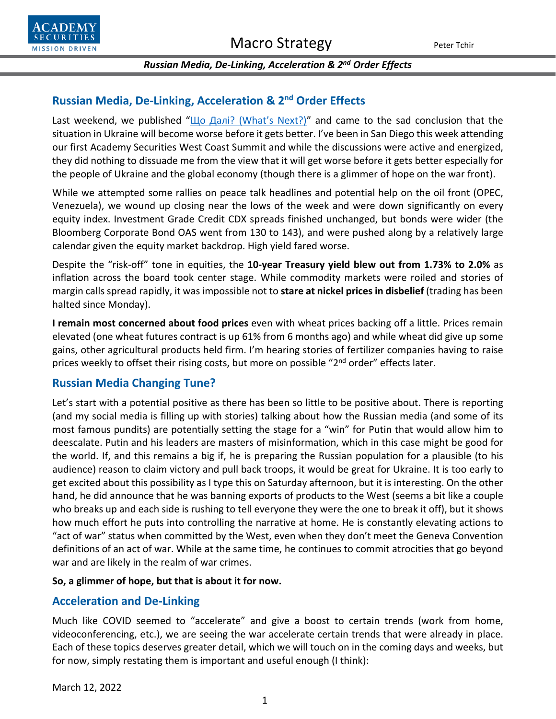

## **Russian Media, De-Linking, Acceleration & 2nd Order Effects**

Last weekend, we published "[Що Далі? \(What's Next?\)](https://www.academysecurities.com/wordpress/wp-content/uploads/2022/03/%D0%A9%D0%BE-%D0%94%D0%B0%D0%BB%D1%96-or-Whats-Next.pdf)" and came to the sad conclusion that the situation in Ukraine will become worse before it gets better. I've been in San Diego this week attending our first Academy Securities West Coast Summit and while the discussions were active and energized, they did nothing to dissuade me from the view that it will get worse before it gets better especially for the people of Ukraine and the global economy (though there is a glimmer of hope on the war front).

While we attempted some rallies on peace talk headlines and potential help on the oil front (OPEC, Venezuela), we wound up closing near the lows of the week and were down significantly on every equity index. Investment Grade Credit CDX spreads finished unchanged, but bonds were wider (the Bloomberg Corporate Bond OAS went from 130 to 143), and were pushed along by a relatively large calendar given the equity market backdrop. High yield fared worse.

Despite the "risk-off" tone in equities, the **10-year Treasury yield blew out from 1.73% to 2.0%** as inflation across the board took center stage. While commodity markets were roiled and stories of margin calls spread rapidly, it was impossible not to **stare at nickel prices in disbelief** (trading has been halted since Monday).

**I remain most concerned about food prices** even with wheat prices backing off a little. Prices remain elevated (one wheat futures contract is up 61% from 6 months ago) and while wheat did give up some gains, other agricultural products held firm. I'm hearing stories of fertilizer companies having to raise prices weekly to offset their rising costs, but more on possible "2<sup>nd</sup> order" effects later.

# **Russian Media Changing Tune?**

Let's start with a potential positive as there has been so little to be positive about. There is reporting (and my social media is filling up with stories) talking about how the Russian media (and some of its most famous pundits) are potentially setting the stage for a "win" for Putin that would allow him to deescalate. Putin and his leaders are masters of misinformation, which in this case might be good for the world. If, and this remains a big if, he is preparing the Russian population for a plausible (to his audience) reason to claim victory and pull back troops, it would be great for Ukraine. It is too early to get excited about this possibility as I type this on Saturday afternoon, but it is interesting. On the other hand, he did announce that he was banning exports of products to the West (seems a bit like a couple who breaks up and each side is rushing to tell everyone they were the one to break it off), but it shows how much effort he puts into controlling the narrative at home. He is constantly elevating actions to "act of war" status when committed by the West, even when they don't meet the Geneva Convention definitions of an act of war. While at the same time, he continues to commit atrocities that go beyond war and are likely in the realm of war crimes.

## **So, a glimmer of hope, but that is about it for now.**

## **Acceleration and De-Linking**

Much like COVID seemed to "accelerate" and give a boost to certain trends (work from home, videoconferencing, etc.), we are seeing the war accelerate certain trends that were already in place. Each of these topics deserves greater detail, which we will touch on in the coming days and weeks, but for now, simply restating them is important and useful enough (I think):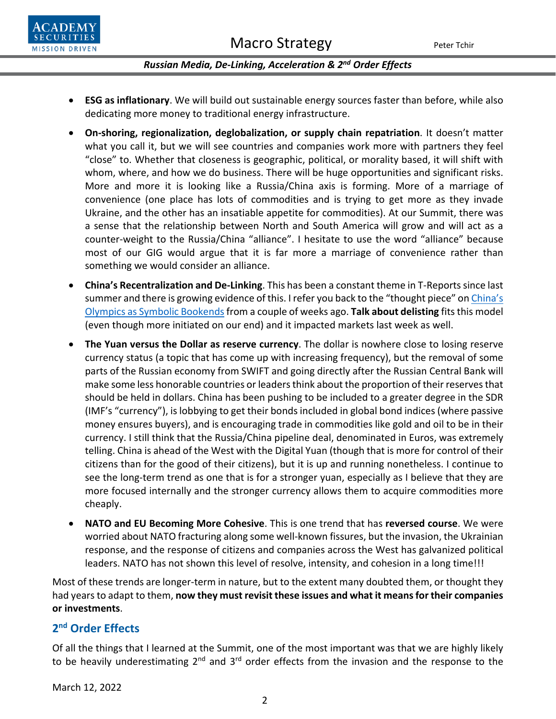

- **ESG as inflationary**. We will build out sustainable energy sources faster than before, while also dedicating more money to traditional energy infrastructure.
- **On-shoring, regionalization, deglobalization, or supply chain repatriation**. It doesn't matter what you call it, but we will see countries and companies work more with partners they feel "close" to. Whether that closeness is geographic, political, or morality based, it will shift with whom, where, and how we do business. There will be huge opportunities and significant risks. More and more it is looking like a Russia/China axis is forming. More of a marriage of convenience (one place has lots of commodities and is trying to get more as they invade Ukraine, and the other has an insatiable appetite for commodities). At our Summit, there was a sense that the relationship between North and South America will grow and will act as a counter-weight to the Russia/China "alliance". I hesitate to use the word "alliance" because most of our GIG would argue that it is far more a marriage of convenience rather than something we would consider an alliance.
- **China's Recentralization and De-Linking**. This has been a constant theme in T-Reports since last summer and there is growing evidence of this. I refer you back to the "thought piece" on China's Olym[pics as Symbolic Bookends](https://www.academysecurities.com/wordpress/wp-content/uploads/2022/02/The-Beijing-Olympics-as-Cultural-Bookends.pdf)from a couple of weeks ago. **Talk about delisting** fits this model (even though more initiated on our end) and it impacted markets last week as well.
- **The Yuan versus the Dollar as reserve currency**. The dollar is nowhere close to losing reserve currency status (a topic that has come up with increasing frequency), but the removal of some parts of the Russian economy from SWIFT and going directly after the Russian Central Bank will make some less honorable countries or leaders think about the proportion of their reserves that should be held in dollars. China has been pushing to be included to a greater degree in the SDR (IMF's "currency"), is lobbying to get their bonds included in global bond indices (where passive money ensures buyers), and is encouraging trade in commodities like gold and oil to be in their currency. I still think that the Russia/China pipeline deal, denominated in Euros, was extremely telling. China is ahead of the West with the Digital Yuan (though that is more for control of their citizens than for the good of their citizens), but it is up and running nonetheless. I continue to see the long-term trend as one that is for a stronger yuan, especially as I believe that they are more focused internally and the stronger currency allows them to acquire commodities more cheaply.
- **NATO and EU Becoming More Cohesive**. This is one trend that has **reversed course**. We were worried about NATO fracturing along some well-known fissures, but the invasion, the Ukrainian response, and the response of citizens and companies across the West has galvanized political leaders. NATO has not shown this level of resolve, intensity, and cohesion in a long time!!!

Most of these trends are longer-term in nature, but to the extent many doubted them, or thought they had years to adapt to them, **now they must revisit these issues and what it means for their companies or investments**.

# **2nd Order Effects**

Of all the things that I learned at the Summit, one of the most important was that we are highly likely to be heavily underestimating  $2^{nd}$  and  $3^{rd}$  order effects from the invasion and the response to the

March 12, 2022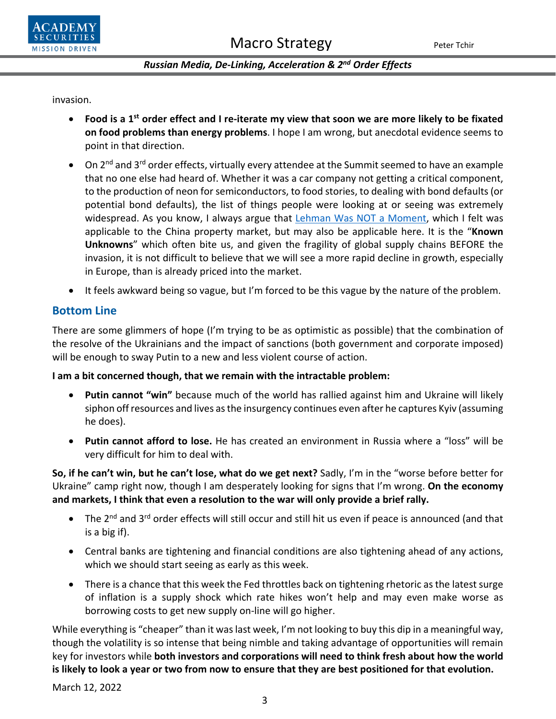

invasion.

- **Food is a 1st order effect and I re-iterate my view that soon we are more likely to be fixated on food problems than energy problems**. I hope I am wrong, but anecdotal evidence seems to point in that direction.
- On 2<sup>nd</sup> and 3<sup>rd</sup> order effects, virtually every attendee at the Summit seemed to have an example that no one else had heard of. Whether it was a car company not getting a critical component, to the production of neon for semiconductors, to food stories, to dealing with bond defaults(or potential bond defaults), the list of things people were looking at or seeing was extremely widespread. As you know, I always argue that **[Lehman Was NOT a Moment](https://www.academysecurities.com/wordpress/wp-content/uploads/2021/09/A-Gentle-Reminder-Lehman-Was-NOT-a-Moment-1.pdf)**, which I felt was applicable to the China property market, but may also be applicable here. It is the "**Known Unknowns**" which often bite us, and given the fragility of global supply chains BEFORE the invasion, it is not difficult to believe that we will see a more rapid decline in growth, especially in Europe, than is already priced into the market.
- It feels awkward being so vague, but I'm forced to be this vague by the nature of the problem.

# **Bottom Line**

There are some glimmers of hope (I'm trying to be as optimistic as possible) that the combination of the resolve of the Ukrainians and the impact of sanctions (both government and corporate imposed) will be enough to sway Putin to a new and less violent course of action.

## **I am a bit concerned though, that we remain with the intractable problem:**

- **Putin cannot "win"** because much of the world has rallied against him and Ukraine will likely siphon off resources and lives as the insurgency continues even after he captures Kyiv (assuming he does).
- **Putin cannot afford to lose.** He has created an environment in Russia where a "loss" will be very difficult for him to deal with.

**So, if he can't win, but he can't lose, what do we get next?** Sadly, I'm in the "worse before better for Ukraine" camp right now, though I am desperately looking for signs that I'm wrong. **On the economy and markets, I think that even a resolution to the war will only provide a brief rally.** 

- The 2<sup>nd</sup> and 3<sup>rd</sup> order effects will still occur and still hit us even if peace is announced (and that is a big if).
- Central banks are tightening and financial conditions are also tightening ahead of any actions, which we should start seeing as early as this week.
- There is a chance that this week the Fed throttles back on tightening rhetoric as the latest surge of inflation is a supply shock which rate hikes won't help and may even make worse as borrowing costs to get new supply on-line will go higher.

While everything is "cheaper" than it was last week, I'm not looking to buy this dip in a meaningful way, though the volatility is so intense that being nimble and taking advantage of opportunities will remain key for investors while **both investors and corporations will need to think fresh about how the world is likely to look a year or two from now to ensure that they are best positioned for that evolution.**